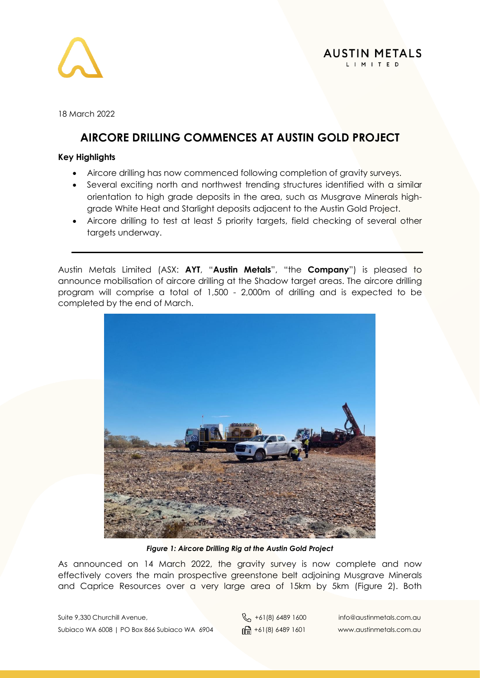

18 March 2022

# **AIRCORE DRILLING COMMENCES AT AUSTIN GOLD PROJECT**

## **Key Highlights**

- Aircore drilling has now commenced following completion of gravity surveys.
- Several exciting north and northwest trending structures identified with a similar orientation to high grade deposits in the area, such as Musgrave Minerals highgrade White Heat and Starlight deposits adjacent to the Austin Gold Project.
- Aircore drilling to test at least 5 priority targets, field checking of several other targets underway.

Austin Metals Limited (ASX: **AYT**, "**Austin Metals**", "the **Company**") is pleased to announce mobilisation of aircore drilling at the Shadow target areas. The aircore drilling program will comprise a total of 1,500 - 2,000m of drilling and is expected to be completed by the end of March.



*Figure 1: Aircore Drilling Rig at the Austin Gold Project*

As announced on 14 March 2022, the gravity survey is now complete and now effectively covers the main prospective greenstone belt adjoining Musgrave Minerals and Caprice Resources over a very large area of 15km by 5km (Figure 2). Both

Suite 9,330 Churchill Avenue,  $\begin{matrix}8 \\ 101 \end{matrix}$  +61(8) 6489 1600 info@austinmetals.com.au Subiaco WA 6008 | PO Box 866 Subiaco WA 6904  $\lim_{\theta \to 0} +61(8)$  6489 1601 www.austinmetals.com.au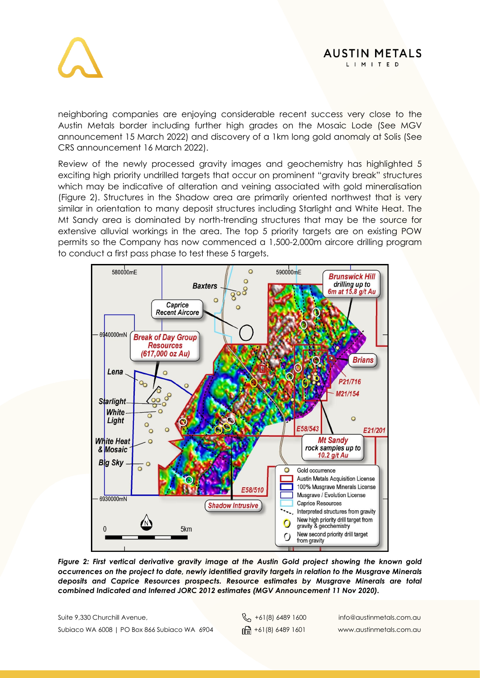



neighboring companies are enjoying considerable recent success very close to the Austin Metals border including further high grades on the Mosaic Lode (See MGV announcement 15 March 2022) and discovery of a 1km long gold anomaly at Solis (See CRS announcement 16 March 2022).

Review of the newly processed gravity images and geochemistry has highlighted 5 exciting high priority undrilled targets that occur on prominent "gravity break" structures which may be indicative of alteration and veining associated with gold mineralisation (Figure 2). Structures in the Shadow area are primarily oriented northwest that is very similar in orientation to many deposit structures including Starlight and White Heat. The Mt Sandy area is dominated by north-trending structures that may be the source for extensive alluvial workings in the area. The top 5 priority targets are on existing POW permits so the Company has now commenced a 1,500-2,000m aircore drilling program to conduct a first pass phase to test these 5 targets.



*Figure 2: First vertical derivative gravity image at the Austin Gold project showing the known gold occurrences on the project to date, newly identified gravity targets in relation to the Musgrave Minerals deposits and Caprice Resources prospects. Resource estimates by Musgrave Minerals are total combined Indicated and Inferred JORC 2012 estimates (MGV Announcement 11 Nov 2020).*

Suite 9,330 Churchill Avenue,  $\begin{matrix}8 \\ 101 \end{matrix}$  +61(8) 6489 1600 info@austinmetals.com.au Subiaco WA 6008 | PO Box 866 Subiaco WA 6904  $\lim_{\theta \to 0} +61(8)$  6489 1601 www.austinmetals.com.au